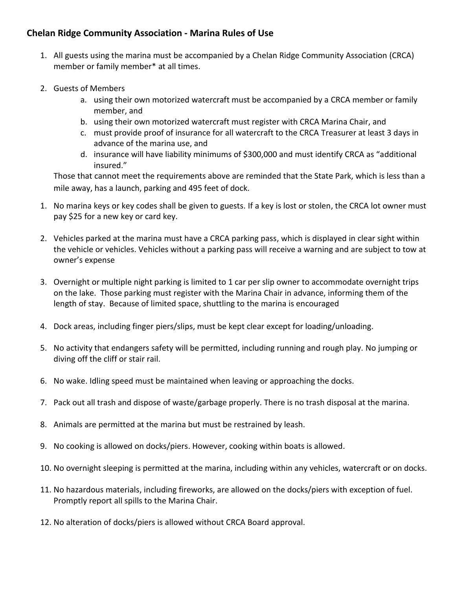## **Chelan Ridge Community Association - Marina Rules of Use**

- 1. All guests using the marina must be accompanied by a Chelan Ridge Community Association (CRCA) member or family member\* at all times.
- 2. Guests of Members
	- a. using their own motorized watercraft must be accompanied by a CRCA member or family member, and
	- b. using their own motorized watercraft must register with CRCA Marina Chair, and
	- c. must provide proof of insurance for all watercraft to the CRCA Treasurer at least 3 days in advance of the marina use, and
	- d. insurance will have liability minimums of \$300,000 and must identify CRCA as "additional insured."

Those that cannot meet the requirements above are reminded that the State Park, which is less than a mile away, has a launch, parking and 495 feet of dock.

- 1. No marina keys or key codes shall be given to guests. If a key is lost or stolen, the CRCA lot owner must pay \$25 for a new key or card key.
- 2. Vehicles parked at the marina must have a CRCA parking pass, which is displayed in clear sight within the vehicle or vehicles. Vehicles without a parking pass will receive a warning and are subject to tow at owner's expense
- 3. Overnight or multiple night parking is limited to 1 car per slip owner to accommodate overnight trips on the lake. Those parking must register with the Marina Chair in advance, informing them of the length of stay. Because of limited space, shuttling to the marina is encouraged
- 4. Dock areas, including finger piers/slips, must be kept clear except for loading/unloading.
- 5. No activity that endangers safety will be permitted, including running and rough play. No jumping or diving off the cliff or stair rail.
- 6. No wake. Idling speed must be maintained when leaving or approaching the docks.
- 7. Pack out all trash and dispose of waste/garbage properly. There is no trash disposal at the marina.
- 8. Animals are permitted at the marina but must be restrained by leash.
- 9. No cooking is allowed on docks/piers. However, cooking within boats is allowed.
- 10. No overnight sleeping is permitted at the marina, including within any vehicles, watercraft or on docks.
- 11. No hazardous materials, including fireworks, are allowed on the docks/piers with exception of fuel. Promptly report all spills to the Marina Chair.
- 12. No alteration of docks/piers is allowed without CRCA Board approval.